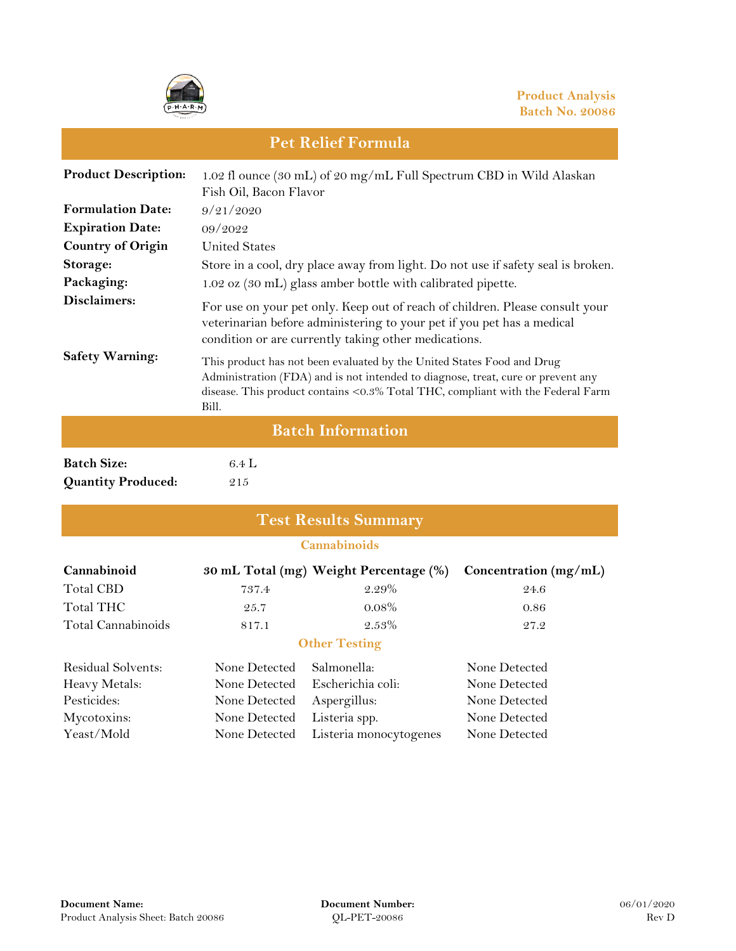

#### **Product Description: Formulation Date: Expiration Date: Country of Origin Storage: Packaging: Disclaimers: Safety Warning: Batch Information** 1.02 fl ounce (30 mL) of 20 mg/mL Full Spectrum CBD in Wild Alaskan Fish Oil, Bacon Flavor 9/21/2020 United States Store in a cool, dry place away from light. Do not use if safety seal is broken. This product has not been evaluated by the United States Food and Drug Administration (FDA) and is not intended to diagnose, treat, cure or prevent any disease. This product contains <0.3% Total THC, compliant with the Federal Farm Bill. 09/2022 1.02 oz (30 mL) glass amber bottle with calibrated pipette. For use on your pet only. Keep out of reach of children. Please consult your veterinarian before administering to your pet if you pet has a medical condition or are currently taking other medications.

**Pet Relief Formula**

| <b>Batch Size:</b>        | 6.4 |
|---------------------------|-----|
| <b>Quantity Produced:</b> | 215 |

**Batch Size:** 6.4 L

| <b>Test Results Summary</b> |                     |                                        |                       |  |  |  |
|-----------------------------|---------------------|----------------------------------------|-----------------------|--|--|--|
|                             | <b>Cannabinoids</b> |                                        |                       |  |  |  |
| Cannabinoid                 |                     | 30 mL Total (mg) Weight Percentage (%) | Concentration (mg/mL) |  |  |  |
| <b>Total CBD</b>            | 737.4               | $2.29\%$                               | 24.6                  |  |  |  |
| Total THC                   | 25.7                | $0.08\%$                               | 0.86                  |  |  |  |
| Total Cannabinoids          | 817.1               | $2.53\%$                               | 27.2                  |  |  |  |
|                             |                     | <b>Other Testing</b>                   |                       |  |  |  |
| Residual Solvents:          | None Detected       | Salmonella:                            | None Detected         |  |  |  |
| Heavy Metals:               | None Detected       | Escherichia coli:                      | None Detected         |  |  |  |
| Pesticides:                 | None Detected       | Aspergillus:                           | None Detected         |  |  |  |
| Mycotoxins:                 | None Detected       | Listeria spp.                          | None Detected         |  |  |  |
| Yeast/Mold                  | None Detected       | Listeria monocytogenes                 | None Detected         |  |  |  |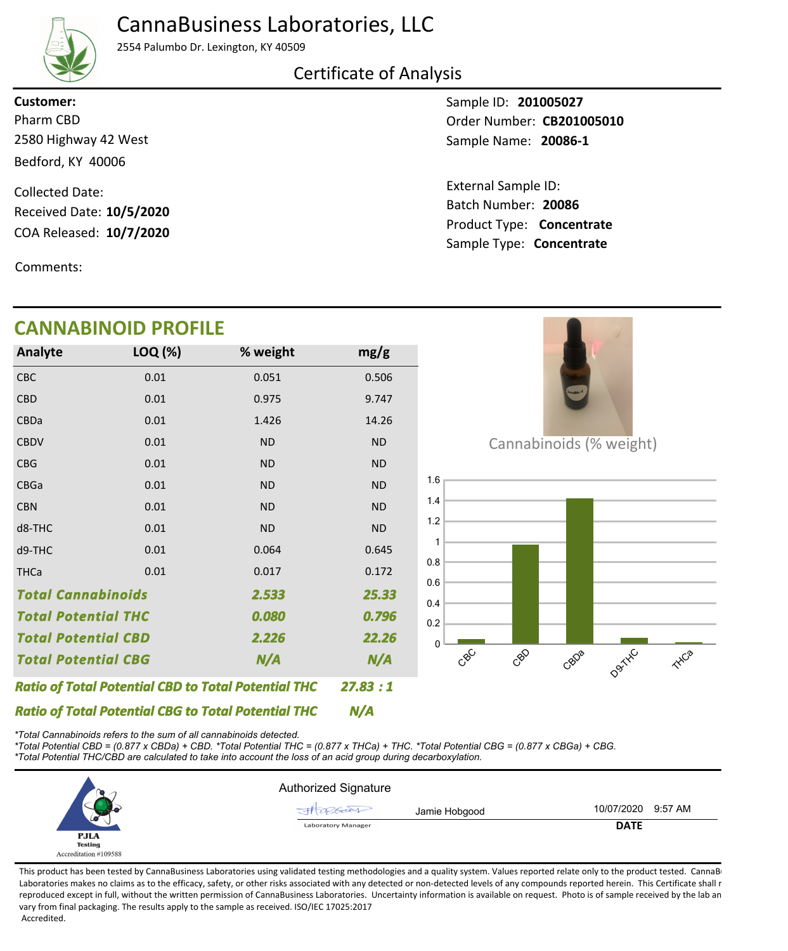# CannaBusiness Laboratories, LLC



2554 Palumbo Dr. Lexington, KY 40509

## Certificate of Analysis

2580 Highway 42 West Bedford, KY 40006 **Customer:**

COA Released: 10/7/2020 Collected Date: Received Date: **10/5/2020**

Comments:

### Sample ID: **201005027 20086-1** Sample Name: Pharm CBD **CB201005010 CB201005010**

Product Type: **Concentrate 10/7/2020 20086** Batch Number: External Sample ID: Sample Type: **Concentrate**

| -- - - -<br>VADIIVOID I INOI ILL                           |         |           |           |  |  |
|------------------------------------------------------------|---------|-----------|-----------|--|--|
| Analyte                                                    | LOQ (%) | % weight  | mg/g      |  |  |
| <b>CBC</b>                                                 | 0.01    | 0.051     | 0.506     |  |  |
| <b>CBD</b>                                                 | 0.01    | 0.975     | 9.747     |  |  |
| <b>CBDa</b>                                                | 0.01    | 1.426     | 14.26     |  |  |
| <b>CBDV</b>                                                | 0.01    | <b>ND</b> | <b>ND</b> |  |  |
| <b>CBG</b>                                                 | 0.01    | <b>ND</b> | <b>ND</b> |  |  |
| <b>CBGa</b>                                                | 0.01    | <b>ND</b> | <b>ND</b> |  |  |
| <b>CBN</b>                                                 | 0.01    | <b>ND</b> | <b>ND</b> |  |  |
| d8-THC                                                     | 0.01    | <b>ND</b> | <b>ND</b> |  |  |
| d9-THC                                                     | 0.01    | 0.064     | 0.645     |  |  |
| <b>THCa</b>                                                | 0.01    | 0.017     | 0.172     |  |  |
| <b>Total Cannabinoids</b><br>2.533                         |         |           | 25.33     |  |  |
| <b>Total Potential THC</b>                                 |         | 0.080     | 0.796     |  |  |
| <b>Total Potential CBD</b>                                 |         | 2.226     | 22.26     |  |  |
| N/A<br><b>Total Potential CBG</b>                          |         | N/A       |           |  |  |
| <b>Ratio of Total Potential CBD to Total Potential THC</b> |         |           | 27.83:1   |  |  |



Cannabinoids (% weight)



*Ratio of Total Potential CBG to Total Potential THC \*Total Cannabinoids refers to the sum of all cannabinoids detected.*

*\*Total Potential CBD = (0.877 x CBDa) + CBD. \*Total Potential THC = (0.877 x THCa) + THC. \*Total Potential CBG = (0.877 x CBGa) + CBG. \*Total Potential THC/CBD are calculated to take into account the loss of an acid group during decarboxylation.*



*N/A*

This product has been tested by CannaBusiness Laboratories using validated testing methodologies and a quality system. Values reported relate only to the product tested. CannaBi Laboratories makes no claims as to the efficacy, safety, or other risks associated with any detected or non-detected levels of any compounds reported herein. This Certificate shall r reproduced except in full, without the written permission of CannaBusiness Laboratories. Uncertainty information is available on request. Photo is of sample received by the lab an vary from final packaging. The results apply to the sample as received. ISO/IEC 17025:2017 Accredited.

# **CANNABINOID PROFILE**